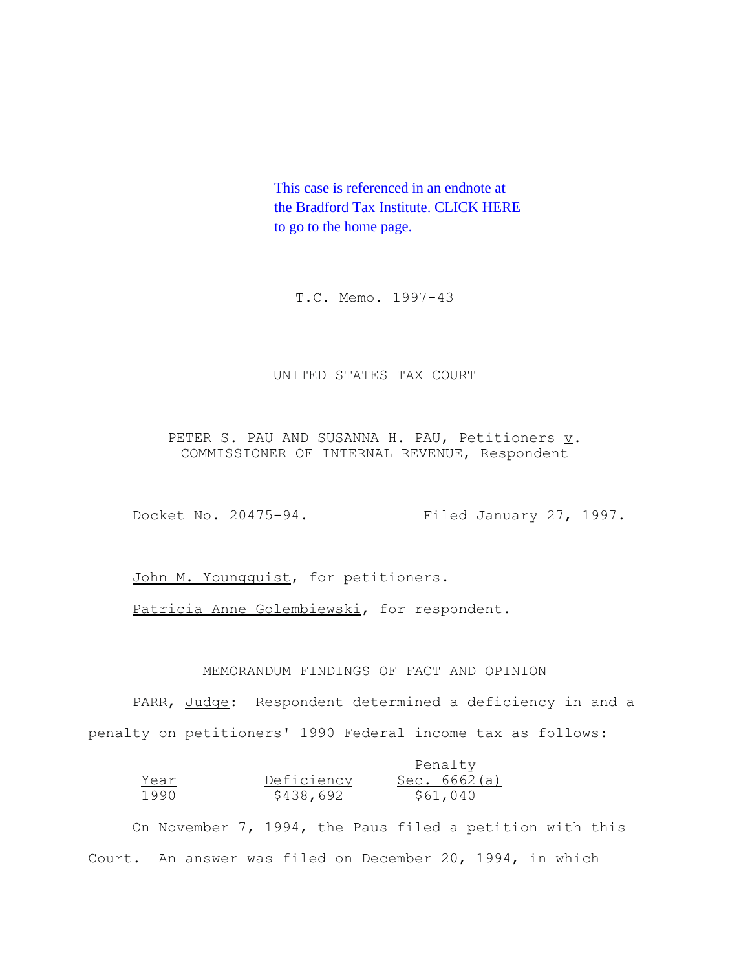This case is referenced in an endnote at [the Bradford Tax Institute. CLICK HERE](http://bradfordtaxinstitute.com/index1.aspx)  to go to the home page.

T.C. Memo. 1997-43

## UNITED STATES TAX COURT

PETER S. PAU AND SUSANNA H. PAU, Petitioners  $\underline{v}$ . COMMISSIONER OF INTERNAL REVENUE, Respondent

Docket No. 20475-94. Filed January 27, 1997.

John M. Youngquist, for petitioners.

Patricia Anne Golembiewski, for respondent.

## MEMORANDUM FINDINGS OF FACT AND OPINION

PARR, Judge: Respondent determined a deficiency in and a penalty on petitioners' 1990 Federal income tax as follows:

|      |            | Penalty        |
|------|------------|----------------|
| Year | Deficiency | Sec. $6662(a)$ |
| 1990 | \$438,692  | \$61,040       |

On November 7, 1994, the Paus filed a petition with this Court. An answer was filed on December 20, 1994, in which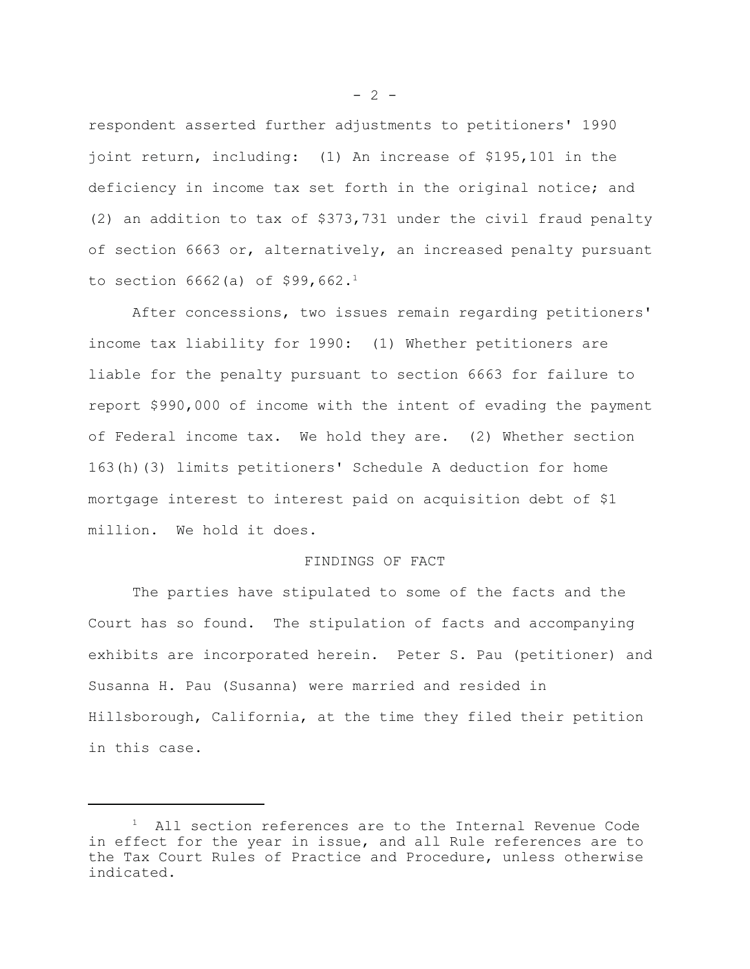respondent asserted further adjustments to petitioners' 1990 joint return, including: (1) An increase of \$195,101 in the deficiency in income tax set forth in the original notice; and (2) an addition to tax of \$373,731 under the civil fraud penalty of section 6663 or, alternatively, an increased penalty pursuant to section  $6662$  (a) of \$99,662.<sup>1</sup>

After concessions, two issues remain regarding petitioners' income tax liability for 1990: (1) Whether petitioners are liable for the penalty pursuant to section 6663 for failure to report \$990,000 of income with the intent of evading the payment of Federal income tax. We hold they are. (2) Whether section 163(h)(3) limits petitioners' Schedule A deduction for home mortgage interest to interest paid on acquisition debt of \$1 million. We hold it does.

## FINDINGS OF FACT

The parties have stipulated to some of the facts and the Court has so found. The stipulation of facts and accompanying exhibits are incorporated herein. Peter S. Pau (petitioner) and Susanna H. Pau (Susanna) were married and resided in Hillsborough, California, at the time they filed their petition in this case.

 $- 2 -$ 

<sup>&</sup>lt;sup>1</sup> All section references are to the Internal Revenue Code in effect for the year in issue, and all Rule references are to the Tax Court Rules of Practice and Procedure, unless otherwise indicated.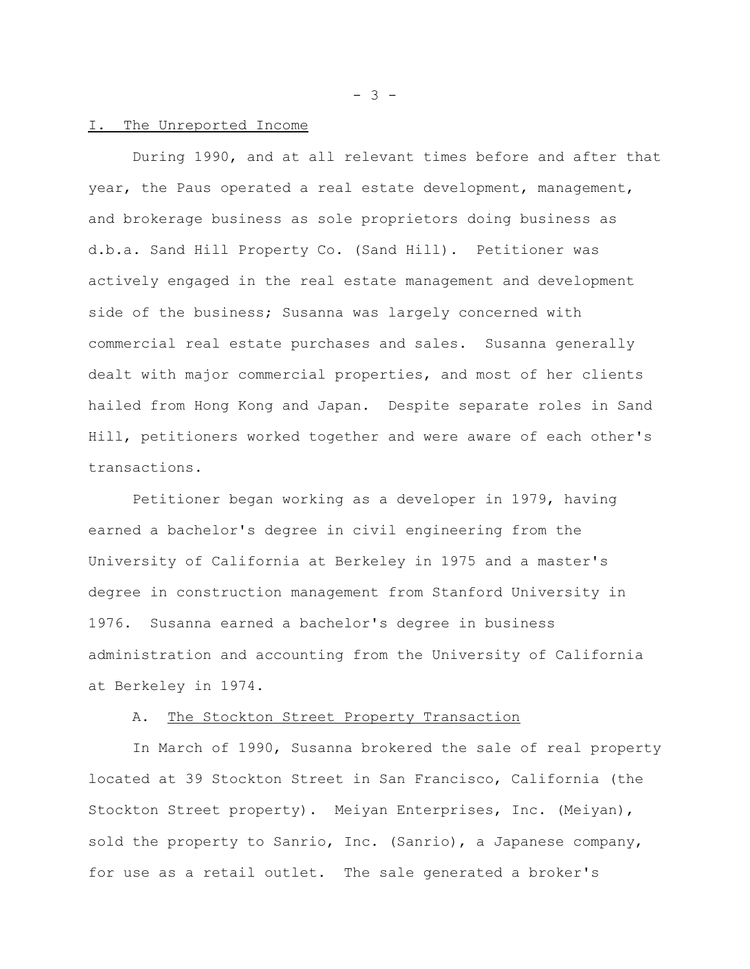#### I. The Unreported Income

During 1990, and at all relevant times before and after that year, the Paus operated a real estate development, management, and brokerage business as sole proprietors doing business as d.b.a. Sand Hill Property Co. (Sand Hill). Petitioner was actively engaged in the real estate management and development side of the business; Susanna was largely concerned with commercial real estate purchases and sales. Susanna generally dealt with major commercial properties, and most of her clients hailed from Hong Kong and Japan. Despite separate roles in Sand Hill, petitioners worked together and were aware of each other's transactions.

Petitioner began working as a developer in 1979, having earned a bachelor's degree in civil engineering from the University of California at Berkeley in 1975 and a master's degree in construction management from Stanford University in 1976. Susanna earned a bachelor's degree in business administration and accounting from the University of California at Berkeley in 1974.

#### A. The Stockton Street Property Transaction

In March of 1990, Susanna brokered the sale of real property located at 39 Stockton Street in San Francisco, California (the Stockton Street property). Meiyan Enterprises, Inc. (Meiyan), sold the property to Sanrio, Inc. (Sanrio), a Japanese company, for use as a retail outlet. The sale generated a broker's

- 3 -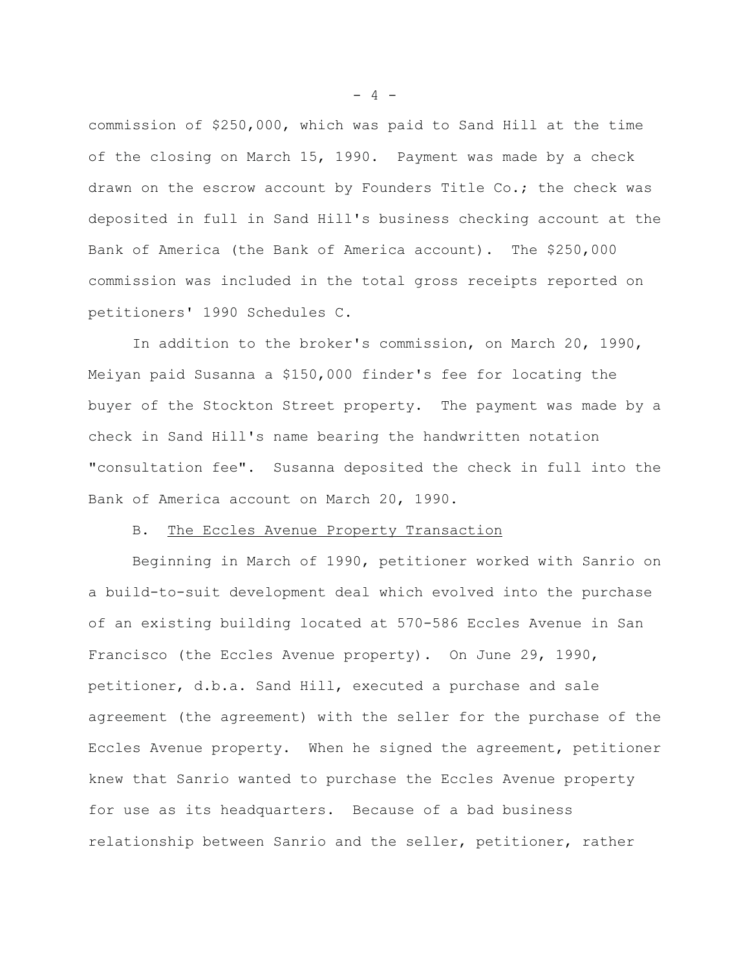commission of \$250,000, which was paid to Sand Hill at the time of the closing on March 15, 1990. Payment was made by a check drawn on the escrow account by Founders Title Co.; the check was deposited in full in Sand Hill's business checking account at the Bank of America (the Bank of America account). The \$250,000 commission was included in the total gross receipts reported on petitioners' 1990 Schedules C.

In addition to the broker's commission, on March 20, 1990, Meiyan paid Susanna a \$150,000 finder's fee for locating the buyer of the Stockton Street property. The payment was made by a check in Sand Hill's name bearing the handwritten notation "consultation fee". Susanna deposited the check in full into the Bank of America account on March 20, 1990.

#### B. The Eccles Avenue Property Transaction

Beginning in March of 1990, petitioner worked with Sanrio on a build-to-suit development deal which evolved into the purchase of an existing building located at 570-586 Eccles Avenue in San Francisco (the Eccles Avenue property). On June 29, 1990, petitioner, d.b.a. Sand Hill, executed a purchase and sale agreement (the agreement) with the seller for the purchase of the Eccles Avenue property. When he signed the agreement, petitioner knew that Sanrio wanted to purchase the Eccles Avenue property for use as its headquarters. Because of a bad business relationship between Sanrio and the seller, petitioner, rather

 $- 4 -$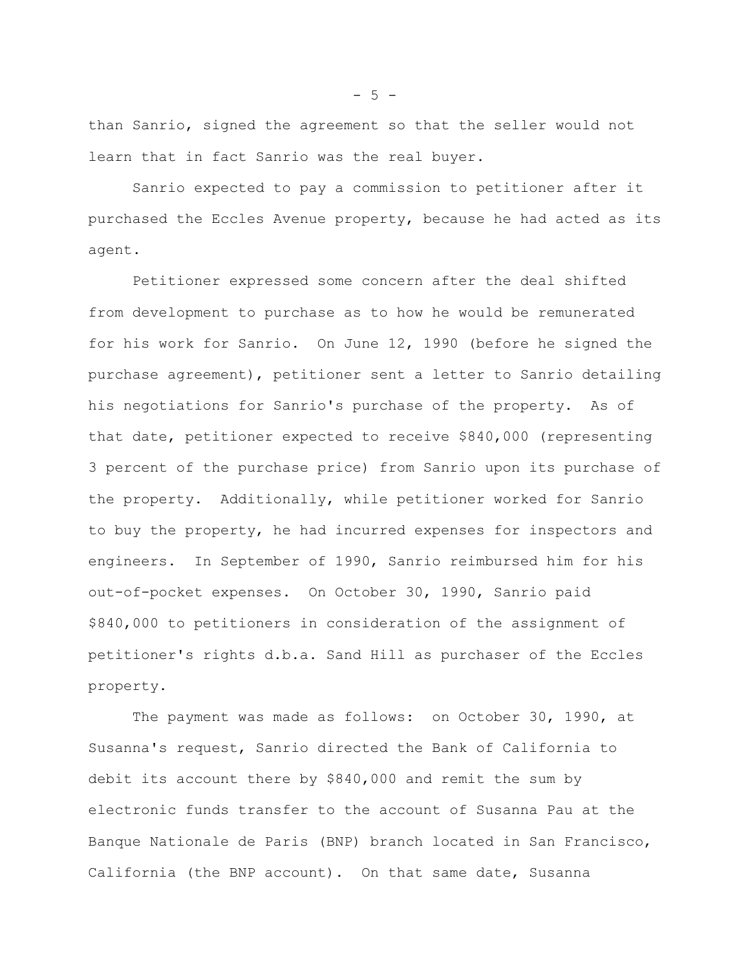than Sanrio, signed the agreement so that the seller would not learn that in fact Sanrio was the real buyer.

Sanrio expected to pay a commission to petitioner after it purchased the Eccles Avenue property, because he had acted as its agent.

Petitioner expressed some concern after the deal shifted from development to purchase as to how he would be remunerated for his work for Sanrio. On June 12, 1990 (before he signed the purchase agreement), petitioner sent a letter to Sanrio detailing his negotiations for Sanrio's purchase of the property. As of that date, petitioner expected to receive \$840,000 (representing 3 percent of the purchase price) from Sanrio upon its purchase of the property. Additionally, while petitioner worked for Sanrio to buy the property, he had incurred expenses for inspectors and engineers. In September of 1990, Sanrio reimbursed him for his out-of-pocket expenses. On October 30, 1990, Sanrio paid \$840,000 to petitioners in consideration of the assignment of petitioner's rights d.b.a. Sand Hill as purchaser of the Eccles property.

The payment was made as follows: on October 30, 1990, at Susanna's request, Sanrio directed the Bank of California to debit its account there by \$840,000 and remit the sum by electronic funds transfer to the account of Susanna Pau at the Banque Nationale de Paris (BNP) branch located in San Francisco, California (the BNP account). On that same date, Susanna

 $-5 -$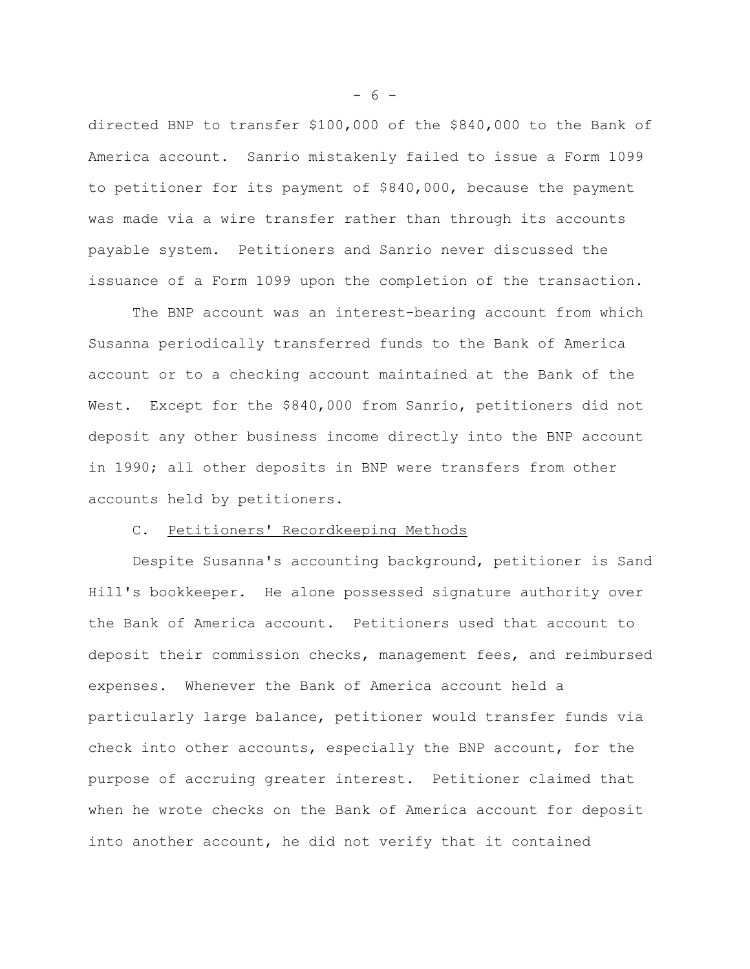directed BNP to transfer \$100,000 of the \$840,000 to the Bank of America account. Sanrio mistakenly failed to issue a Form 1099 to petitioner for its payment of \$840,000, because the payment was made via a wire transfer rather than through its accounts payable system. Petitioners and Sanrio never discussed the issuance of a Form 1099 upon the completion of the transaction.

The BNP account was an interest-bearing account from which Susanna periodically transferred funds to the Bank of America account or to a checking account maintained at the Bank of the West. Except for the \$840,000 from Sanrio, petitioners did not deposit any other business income directly into the BNP account in 1990; all other deposits in BNP were transfers from other accounts held by petitioners.

### C. Petitioners' Recordkeeping Methods

Despite Susanna's accounting background, petitioner is Sand Hill's bookkeeper. He alone possessed signature authority over the Bank of America account. Petitioners used that account to deposit their commission checks, management fees, and reimbursed expenses. Whenever the Bank of America account held a particularly large balance, petitioner would transfer funds via check into other accounts, especially the BNP account, for the purpose of accruing greater interest. Petitioner claimed that when he wrote checks on the Bank of America account for deposit into another account, he did not verify that it contained

 $- 6 -$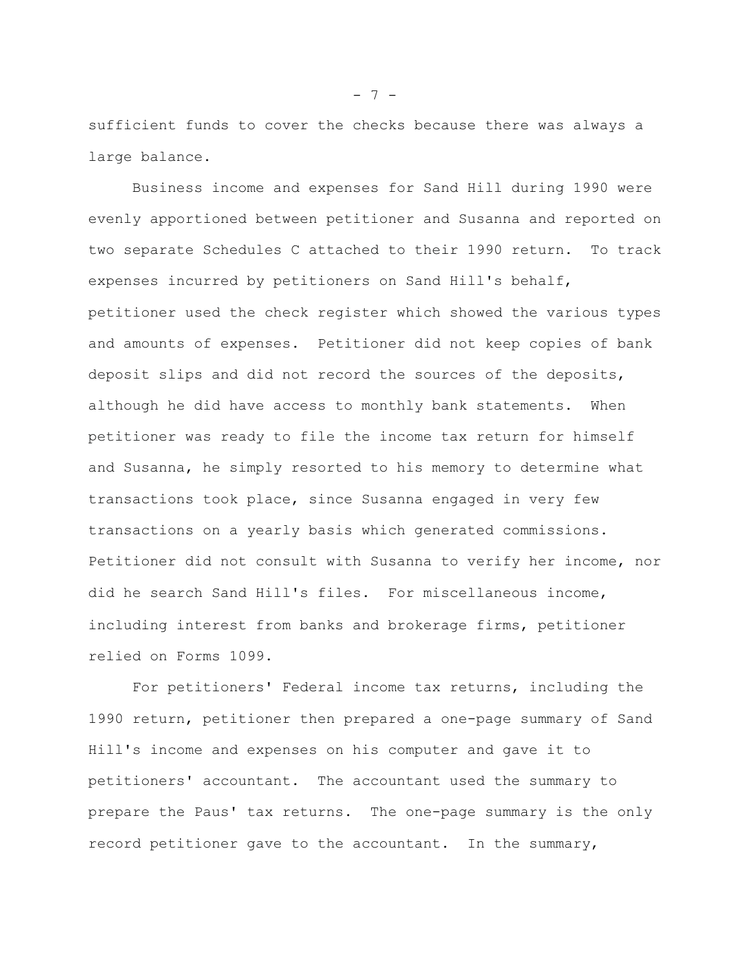sufficient funds to cover the checks because there was always a large balance.

Business income and expenses for Sand Hill during 1990 were evenly apportioned between petitioner and Susanna and reported on two separate Schedules C attached to their 1990 return. To track expenses incurred by petitioners on Sand Hill's behalf, petitioner used the check register which showed the various types and amounts of expenses. Petitioner did not keep copies of bank deposit slips and did not record the sources of the deposits, although he did have access to monthly bank statements. When petitioner was ready to file the income tax return for himself and Susanna, he simply resorted to his memory to determine what transactions took place, since Susanna engaged in very few transactions on a yearly basis which generated commissions. Petitioner did not consult with Susanna to verify her income, nor did he search Sand Hill's files. For miscellaneous income, including interest from banks and brokerage firms, petitioner relied on Forms 1099.

For petitioners' Federal income tax returns, including the 1990 return, petitioner then prepared a one-page summary of Sand Hill's income and expenses on his computer and gave it to petitioners' accountant. The accountant used the summary to prepare the Paus' tax returns. The one-page summary is the only record petitioner gave to the accountant. In the summary,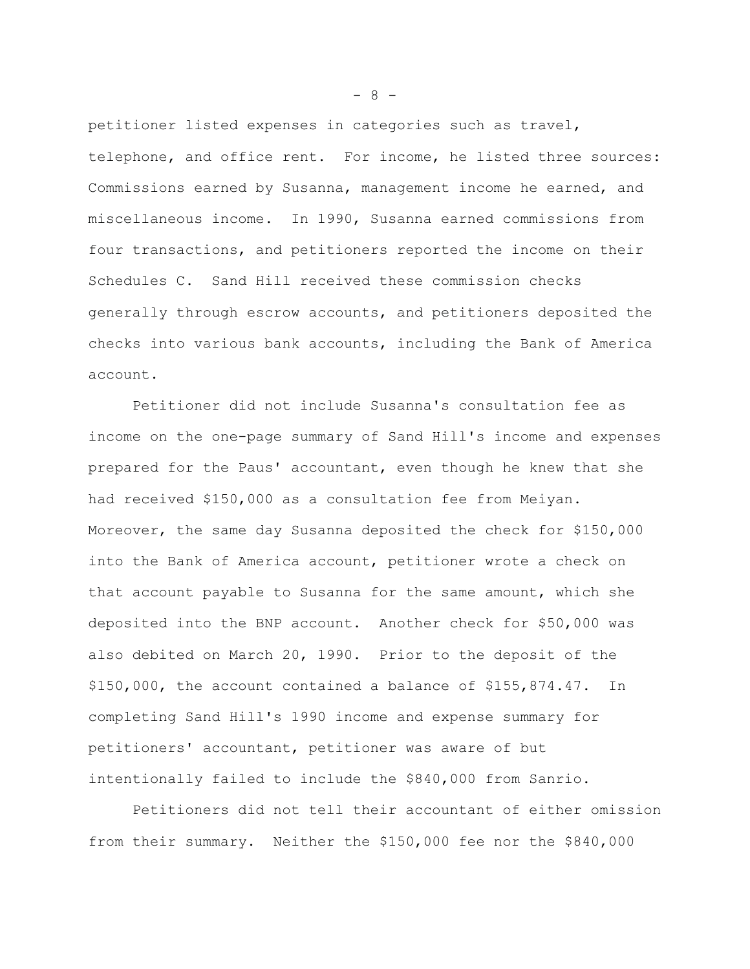petitioner listed expenses in categories such as travel, telephone, and office rent. For income, he listed three sources: Commissions earned by Susanna, management income he earned, and miscellaneous income. In 1990, Susanna earned commissions from four transactions, and petitioners reported the income on their Schedules C. Sand Hill received these commission checks generally through escrow accounts, and petitioners deposited the checks into various bank accounts, including the Bank of America account.

Petitioner did not include Susanna's consultation fee as income on the one-page summary of Sand Hill's income and expenses prepared for the Paus' accountant, even though he knew that she had received \$150,000 as a consultation fee from Meiyan. Moreover, the same day Susanna deposited the check for \$150,000 into the Bank of America account, petitioner wrote a check on that account payable to Susanna for the same amount, which she deposited into the BNP account. Another check for \$50,000 was also debited on March 20, 1990. Prior to the deposit of the \$150,000, the account contained a balance of \$155,874.47. In completing Sand Hill's 1990 income and expense summary for petitioners' accountant, petitioner was aware of but intentionally failed to include the \$840,000 from Sanrio.

Petitioners did not tell their accountant of either omission from their summary. Neither the \$150,000 fee nor the \$840,000

- 8 -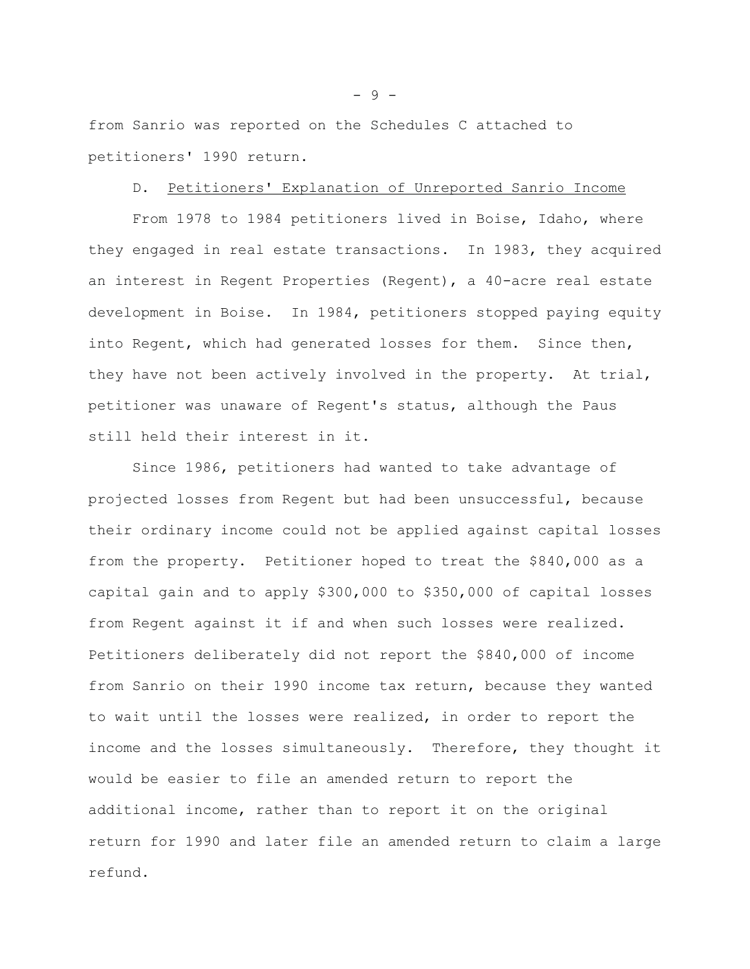from Sanrio was reported on the Schedules C attached to petitioners' 1990 return.

### D. Petitioners' Explanation of Unreported Sanrio Income

From 1978 to 1984 petitioners lived in Boise, Idaho, where they engaged in real estate transactions. In 1983, they acquired an interest in Regent Properties (Regent), a 40-acre real estate development in Boise. In 1984, petitioners stopped paying equity into Regent, which had generated losses for them. Since then, they have not been actively involved in the property. At trial, petitioner was unaware of Regent's status, although the Paus still held their interest in it.

Since 1986, petitioners had wanted to take advantage of projected losses from Regent but had been unsuccessful, because their ordinary income could not be applied against capital losses from the property. Petitioner hoped to treat the \$840,000 as a capital gain and to apply \$300,000 to \$350,000 of capital losses from Regent against it if and when such losses were realized. Petitioners deliberately did not report the \$840,000 of income from Sanrio on their 1990 income tax return, because they wanted to wait until the losses were realized, in order to report the income and the losses simultaneously. Therefore, they thought it would be easier to file an amended return to report the additional income, rather than to report it on the original return for 1990 and later file an amended return to claim a large refund.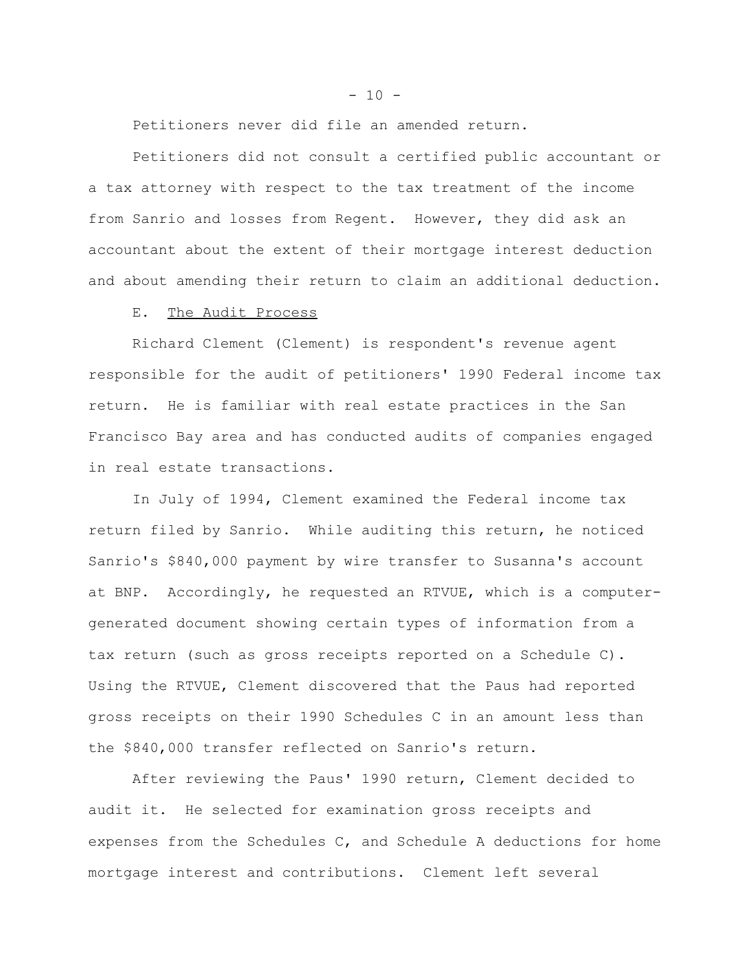Petitioners never did file an amended return.

Petitioners did not consult a certified public accountant or a tax attorney with respect to the tax treatment of the income from Sanrio and losses from Regent. However, they did ask an accountant about the extent of their mortgage interest deduction and about amending their return to claim an additional deduction.

#### E. The Audit Process

Richard Clement (Clement) is respondent's revenue agent responsible for the audit of petitioners' 1990 Federal income tax return. He is familiar with real estate practices in the San Francisco Bay area and has conducted audits of companies engaged in real estate transactions.

In July of 1994, Clement examined the Federal income tax return filed by Sanrio. While auditing this return, he noticed Sanrio's \$840,000 payment by wire transfer to Susanna's account at BNP. Accordingly, he requested an RTVUE, which is a computergenerated document showing certain types of information from a tax return (such as gross receipts reported on a Schedule C). Using the RTVUE, Clement discovered that the Paus had reported gross receipts on their 1990 Schedules C in an amount less than the \$840,000 transfer reflected on Sanrio's return.

After reviewing the Paus' 1990 return, Clement decided to audit it. He selected for examination gross receipts and expenses from the Schedules C, and Schedule A deductions for home mortgage interest and contributions. Clement left several

 $- 10 -$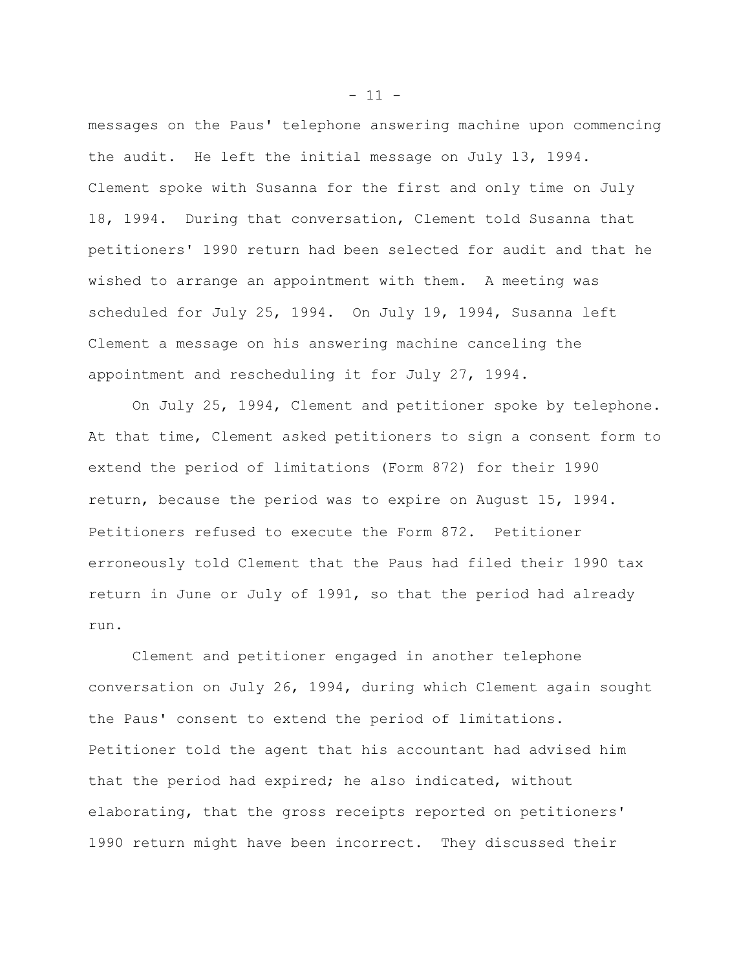messages on the Paus' telephone answering machine upon commencing the audit. He left the initial message on July 13, 1994. Clement spoke with Susanna for the first and only time on July 18, 1994. During that conversation, Clement told Susanna that petitioners' 1990 return had been selected for audit and that he wished to arrange an appointment with them. A meeting was scheduled for July 25, 1994. On July 19, 1994, Susanna left Clement a message on his answering machine canceling the appointment and rescheduling it for July 27, 1994.

On July 25, 1994, Clement and petitioner spoke by telephone. At that time, Clement asked petitioners to sign a consent form to extend the period of limitations (Form 872) for their 1990 return, because the period was to expire on August 15, 1994. Petitioners refused to execute the Form 872. Petitioner erroneously told Clement that the Paus had filed their 1990 tax return in June or July of 1991, so that the period had already run.

Clement and petitioner engaged in another telephone conversation on July 26, 1994, during which Clement again sought the Paus' consent to extend the period of limitations. Petitioner told the agent that his accountant had advised him that the period had expired; he also indicated, without elaborating, that the gross receipts reported on petitioners' 1990 return might have been incorrect. They discussed their

 $- 11 -$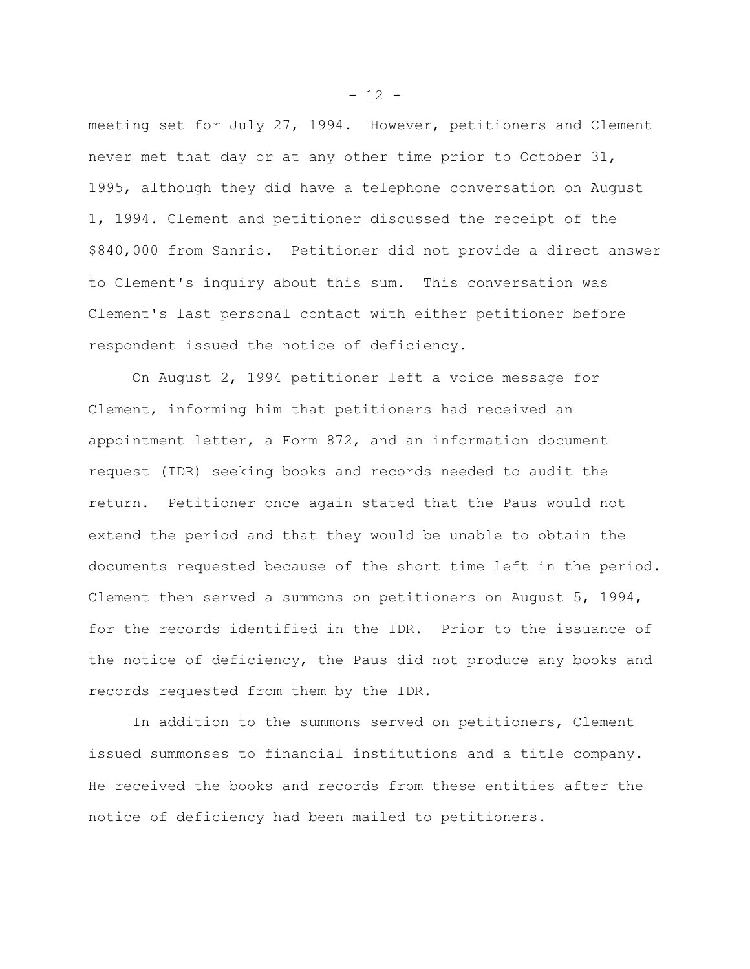meeting set for July 27, 1994. However, petitioners and Clement never met that day or at any other time prior to October 31, 1995, although they did have a telephone conversation on August 1, 1994. Clement and petitioner discussed the receipt of the \$840,000 from Sanrio. Petitioner did not provide a direct answer to Clement's inquiry about this sum. This conversation was Clement's last personal contact with either petitioner before respondent issued the notice of deficiency.

On August 2, 1994 petitioner left a voice message for Clement, informing him that petitioners had received an appointment letter, a Form 872, and an information document request (IDR) seeking books and records needed to audit the return. Petitioner once again stated that the Paus would not extend the period and that they would be unable to obtain the documents requested because of the short time left in the period. Clement then served a summons on petitioners on August 5, 1994, for the records identified in the IDR. Prior to the issuance of the notice of deficiency, the Paus did not produce any books and records requested from them by the IDR.

In addition to the summons served on petitioners, Clement issued summonses to financial institutions and a title company. He received the books and records from these entities after the notice of deficiency had been mailed to petitioners.

 $- 12 -$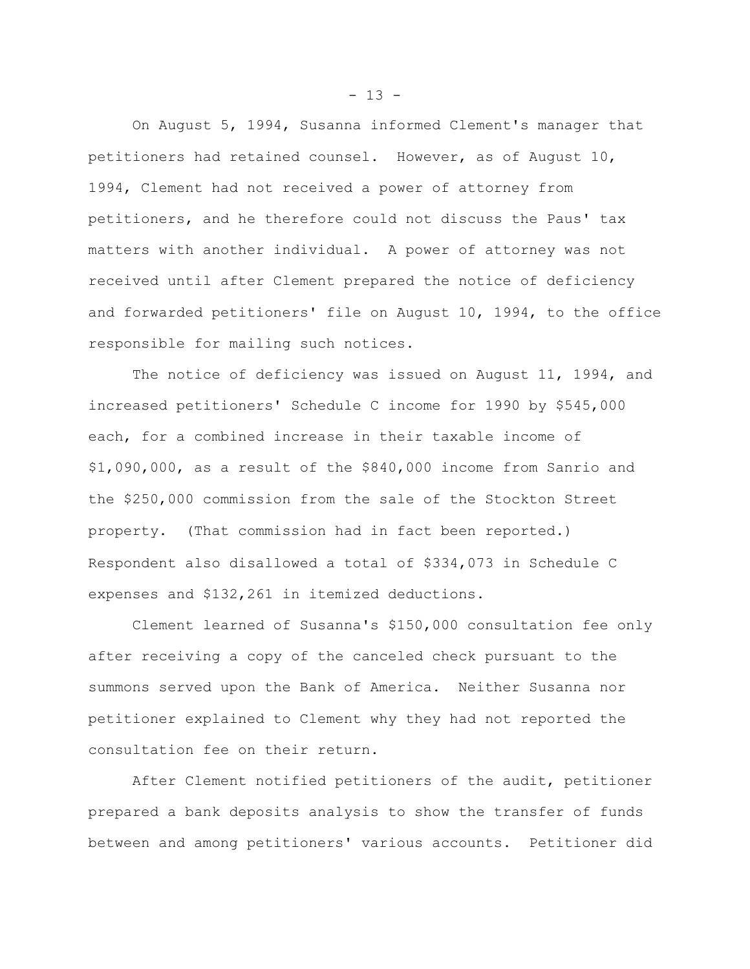On August 5, 1994, Susanna informed Clement's manager that petitioners had retained counsel. However, as of August 10, 1994, Clement had not received a power of attorney from petitioners, and he therefore could not discuss the Paus' tax matters with another individual. A power of attorney was not received until after Clement prepared the notice of deficiency and forwarded petitioners' file on August 10, 1994, to the office responsible for mailing such notices.

The notice of deficiency was issued on August 11, 1994, and increased petitioners' Schedule C income for 1990 by \$545,000 each, for a combined increase in their taxable income of \$1,090,000, as a result of the \$840,000 income from Sanrio and the \$250,000 commission from the sale of the Stockton Street property. (That commission had in fact been reported.) Respondent also disallowed a total of \$334,073 in Schedule C expenses and \$132,261 in itemized deductions.

Clement learned of Susanna's \$150,000 consultation fee only after receiving a copy of the canceled check pursuant to the summons served upon the Bank of America. Neither Susanna nor petitioner explained to Clement why they had not reported the consultation fee on their return.

After Clement notified petitioners of the audit, petitioner prepared a bank deposits analysis to show the transfer of funds between and among petitioners' various accounts. Petitioner did

 $- 13 -$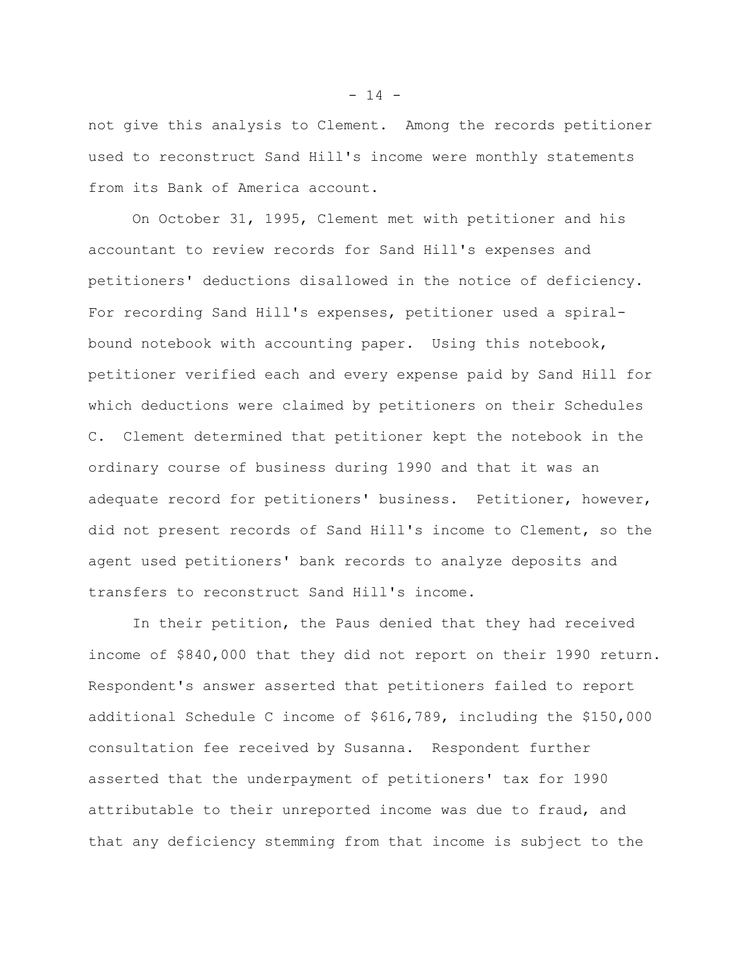not give this analysis to Clement. Among the records petitioner used to reconstruct Sand Hill's income were monthly statements from its Bank of America account.

On October 31, 1995, Clement met with petitioner and his accountant to review records for Sand Hill's expenses and petitioners' deductions disallowed in the notice of deficiency. For recording Sand Hill's expenses, petitioner used a spiralbound notebook with accounting paper. Using this notebook, petitioner verified each and every expense paid by Sand Hill for which deductions were claimed by petitioners on their Schedules C. Clement determined that petitioner kept the notebook in the ordinary course of business during 1990 and that it was an adequate record for petitioners' business. Petitioner, however, did not present records of Sand Hill's income to Clement, so the agent used petitioners' bank records to analyze deposits and transfers to reconstruct Sand Hill's income.

In their petition, the Paus denied that they had received income of \$840,000 that they did not report on their 1990 return. Respondent's answer asserted that petitioners failed to report additional Schedule C income of \$616,789, including the \$150,000 consultation fee received by Susanna. Respondent further asserted that the underpayment of petitioners' tax for 1990 attributable to their unreported income was due to fraud, and that any deficiency stemming from that income is subject to the

 $- 14 -$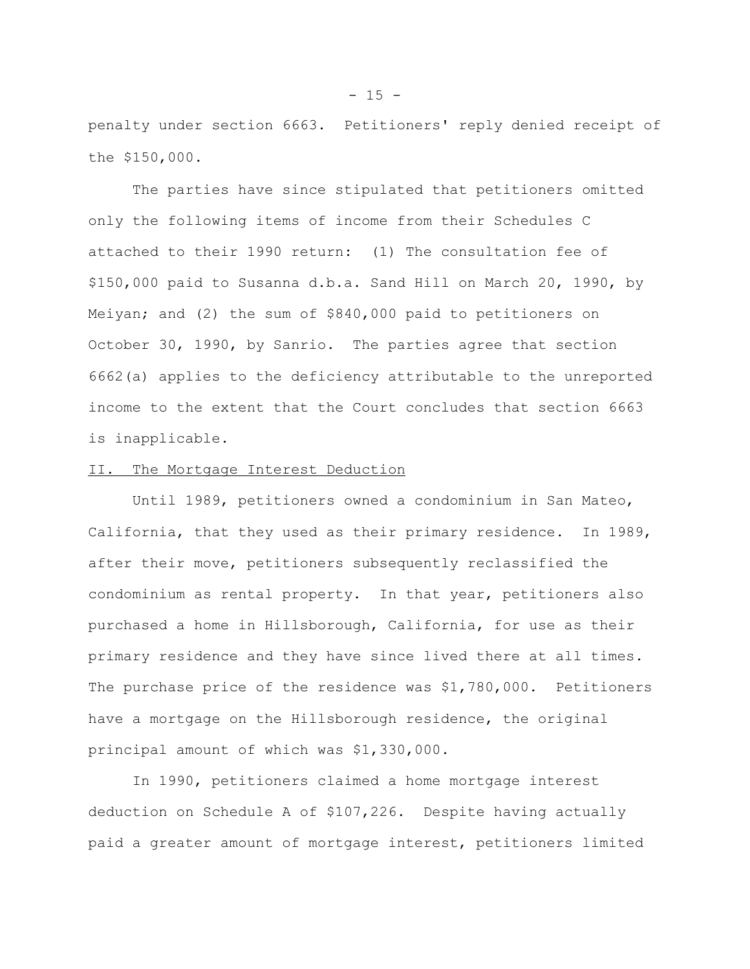penalty under section 6663. Petitioners' reply denied receipt of the \$150,000.

The parties have since stipulated that petitioners omitted only the following items of income from their Schedules C attached to their 1990 return: (1) The consultation fee of \$150,000 paid to Susanna d.b.a. Sand Hill on March 20, 1990, by Meiyan; and (2) the sum of \$840,000 paid to petitioners on October 30, 1990, by Sanrio. The parties agree that section 6662(a) applies to the deficiency attributable to the unreported income to the extent that the Court concludes that section 6663 is inapplicable.

#### II. The Mortgage Interest Deduction

Until 1989, petitioners owned a condominium in San Mateo, California, that they used as their primary residence. In 1989, after their move, petitioners subsequently reclassified the condominium as rental property. In that year, petitioners also purchased a home in Hillsborough, California, for use as their primary residence and they have since lived there at all times. The purchase price of the residence was \$1,780,000. Petitioners have a mortgage on the Hillsborough residence, the original principal amount of which was \$1,330,000.

In 1990, petitioners claimed a home mortgage interest deduction on Schedule A of \$107,226. Despite having actually paid a greater amount of mortgage interest, petitioners limited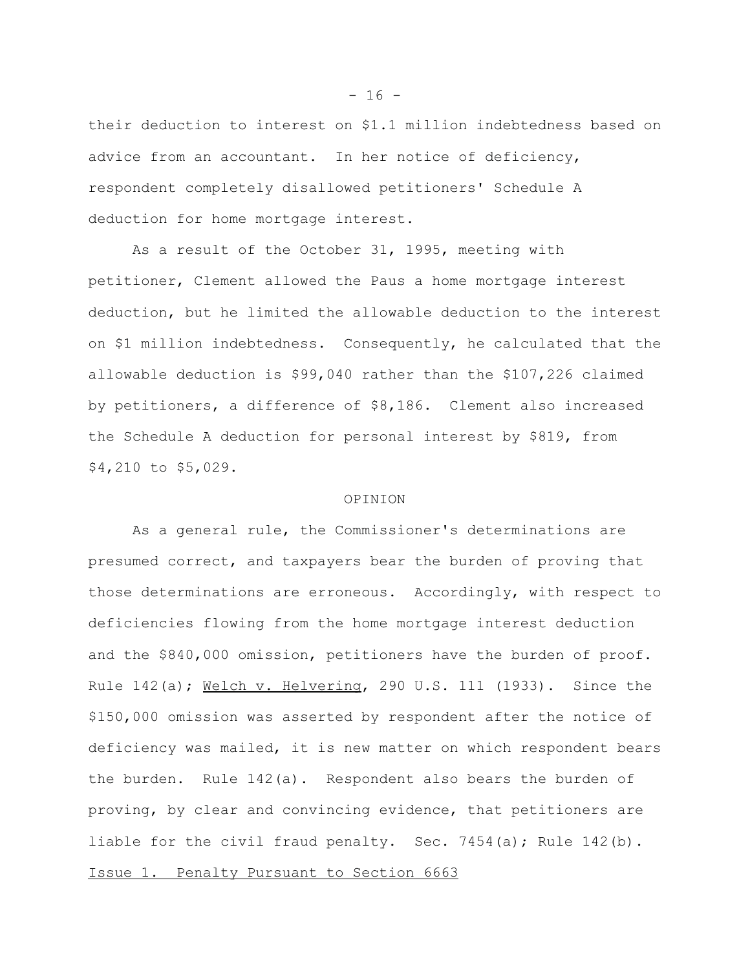their deduction to interest on \$1.1 million indebtedness based on advice from an accountant. In her notice of deficiency, respondent completely disallowed petitioners' Schedule A deduction for home mortgage interest.

As a result of the October 31, 1995, meeting with petitioner, Clement allowed the Paus a home mortgage interest deduction, but he limited the allowable deduction to the interest on \$1 million indebtedness. Consequently, he calculated that the allowable deduction is \$99,040 rather than the \$107,226 claimed by petitioners, a difference of \$8,186. Clement also increased the Schedule A deduction for personal interest by \$819, from \$4,210 to \$5,029.

## OPINION

As a general rule, the Commissioner's determinations are presumed correct, and taxpayers bear the burden of proving that those determinations are erroneous. Accordingly, with respect to deficiencies flowing from the home mortgage interest deduction and the \$840,000 omission, petitioners have the burden of proof. Rule 142(a); Welch v. Helvering, 290 U.S. 111 (1933). Since the \$150,000 omission was asserted by respondent after the notice of deficiency was mailed, it is new matter on which respondent bears the burden. Rule 142(a). Respondent also bears the burden of proving, by clear and convincing evidence, that petitioners are liable for the civil fraud penalty. Sec. 7454(a); Rule 142(b). Issue 1. Penalty Pursuant to Section 6663

 $- 16 -$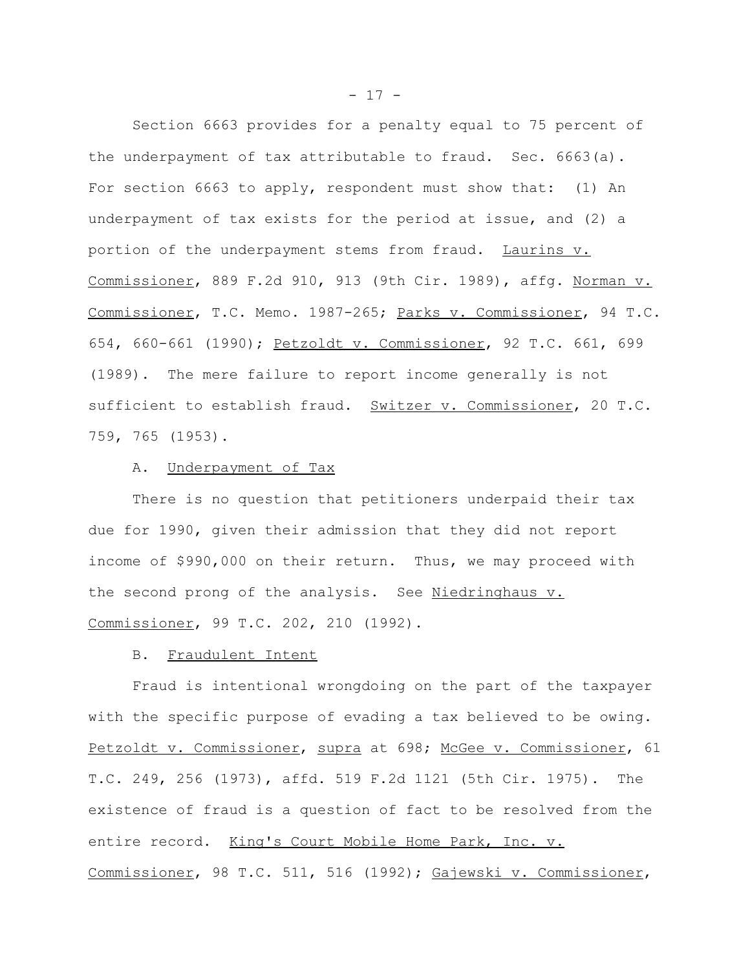Section 6663 provides for a penalty equal to 75 percent of the underpayment of tax attributable to fraud. Sec. 6663(a). For section 6663 to apply, respondent must show that: (1) An underpayment of tax exists for the period at issue, and (2) a portion of the underpayment stems from fraud. Laurins v. Commissioner, 889 F.2d 910, 913 (9th Cir. 1989), affg. Norman v. Commissioner, T.C. Memo. 1987-265; Parks v. Commissioner, 94 T.C. 654, 660-661 (1990); Petzoldt v. Commissioner, 92 T.C. 661, 699 (1989). The mere failure to report income generally is not sufficient to establish fraud. Switzer v. Commissioner, 20 T.C. 759, 765 (1953).

#### A. Underpayment of Tax

There is no question that petitioners underpaid their tax due for 1990, given their admission that they did not report income of \$990,000 on their return. Thus, we may proceed with the second prong of the analysis. See Niedringhaus v. Commissioner, 99 T.C. 202, 210 (1992).

## B. Fraudulent Intent

Fraud is intentional wrongdoing on the part of the taxpayer with the specific purpose of evading a tax believed to be owing. Petzoldt v. Commissioner, supra at 698; McGee v. Commissioner, 61 T.C. 249, 256 (1973), affd. 519 F.2d 1121 (5th Cir. 1975). The existence of fraud is a question of fact to be resolved from the entire record. King's Court Mobile Home Park, Inc. v. Commissioner, 98 T.C. 511, 516 (1992); Gajewski v. Commissioner,

 $- 17 -$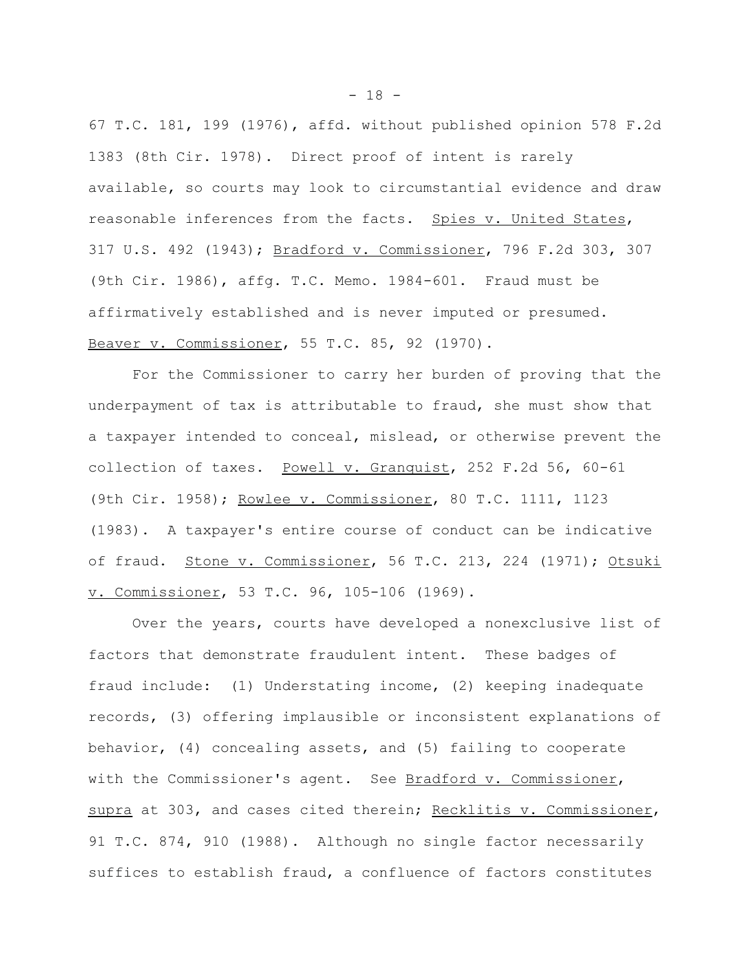67 T.C. 181, 199 (1976), affd. without published opinion 578 F.2d 1383 (8th Cir. 1978). Direct proof of intent is rarely available, so courts may look to circumstantial evidence and draw reasonable inferences from the facts. Spies v. United States, 317 U.S. 492 (1943); Bradford v. Commissioner, 796 F.2d 303, 307 (9th Cir. 1986), affg. T.C. Memo. 1984-601. Fraud must be affirmatively established and is never imputed or presumed. Beaver v. Commissioner, 55 T.C. 85, 92 (1970).

For the Commissioner to carry her burden of proving that the underpayment of tax is attributable to fraud, she must show that a taxpayer intended to conceal, mislead, or otherwise prevent the collection of taxes. Powell v. Granquist, 252 F.2d 56, 60-61 (9th Cir. 1958); Rowlee v. Commissioner, 80 T.C. 1111, 1123 (1983). A taxpayer's entire course of conduct can be indicative of fraud. Stone v. Commissioner, 56 T.C. 213, 224 (1971); Otsuki v. Commissioner, 53 T.C. 96, 105-106 (1969).

Over the years, courts have developed a nonexclusive list of factors that demonstrate fraudulent intent. These badges of fraud include: (1) Understating income, (2) keeping inadequate records, (3) offering implausible or inconsistent explanations of behavior, (4) concealing assets, and (5) failing to cooperate with the Commissioner's agent. See Bradford v. Commissioner, supra at 303, and cases cited therein; Recklitis v. Commissioner, 91 T.C. 874, 910 (1988). Although no single factor necessarily suffices to establish fraud, a confluence of factors constitutes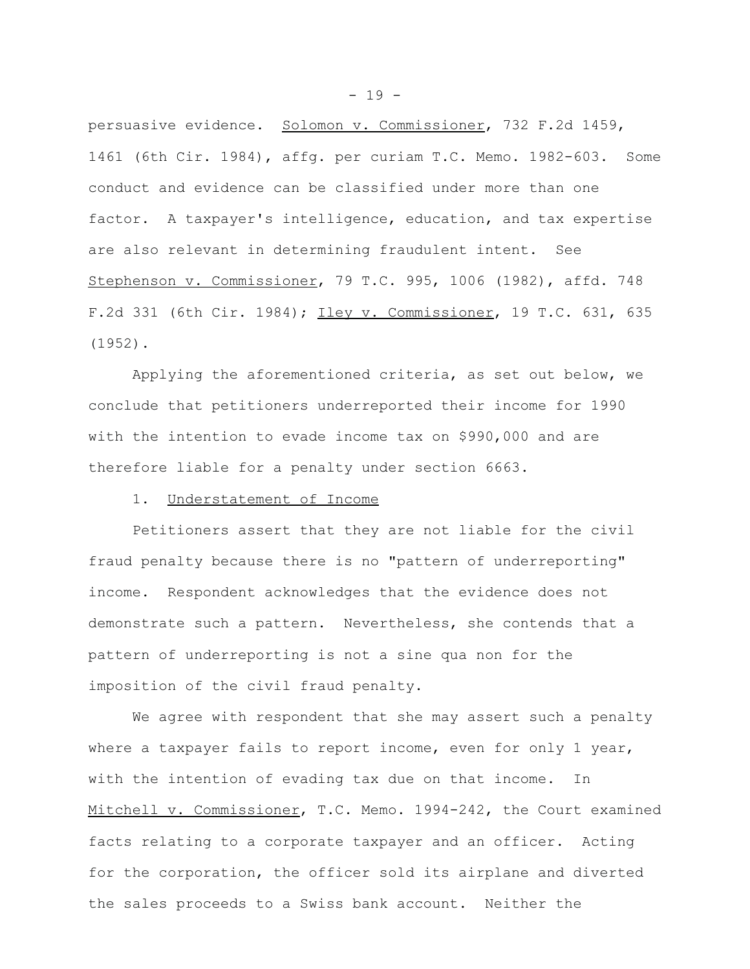persuasive evidence. Solomon v. Commissioner, 732 F.2d 1459, 1461 (6th Cir. 1984), affg. per curiam T.C. Memo. 1982-603. Some conduct and evidence can be classified under more than one factor. A taxpayer's intelligence, education, and tax expertise are also relevant in determining fraudulent intent. See Stephenson v. Commissioner, 79 T.C. 995, 1006 (1982), affd. 748 F.2d 331 (6th Cir. 1984); Iley v. Commissioner, 19 T.C. 631, 635 (1952).

Applying the aforementioned criteria, as set out below, we conclude that petitioners underreported their income for 1990 with the intention to evade income tax on \$990,000 and are therefore liable for a penalty under section 6663.

## 1. Understatement of Income

Petitioners assert that they are not liable for the civil fraud penalty because there is no "pattern of underreporting" income. Respondent acknowledges that the evidence does not demonstrate such a pattern. Nevertheless, she contends that a pattern of underreporting is not a sine qua non for the imposition of the civil fraud penalty.

We agree with respondent that she may assert such a penalty where a taxpayer fails to report income, even for only 1 year, with the intention of evading tax due on that income. In Mitchell v. Commissioner, T.C. Memo. 1994-242, the Court examined facts relating to a corporate taxpayer and an officer. Acting for the corporation, the officer sold its airplane and diverted the sales proceeds to a Swiss bank account. Neither the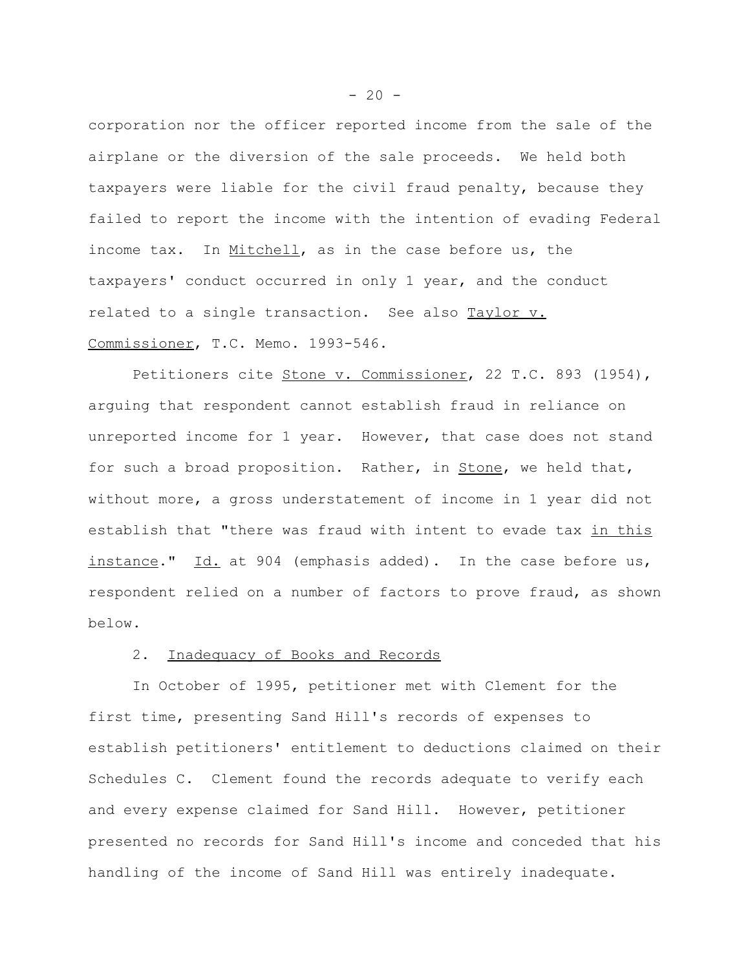corporation nor the officer reported income from the sale of the airplane or the diversion of the sale proceeds. We held both taxpayers were liable for the civil fraud penalty, because they failed to report the income with the intention of evading Federal income tax. In Mitchell, as in the case before us, the taxpayers' conduct occurred in only 1 year, and the conduct related to a single transaction. See also Taylor v. Commissioner, T.C. Memo. 1993-546.

Petitioners cite Stone v. Commissioner, 22 T.C. 893 (1954), arguing that respondent cannot establish fraud in reliance on unreported income for 1 year. However, that case does not stand for such a broad proposition. Rather, in Stone, we held that, without more, a gross understatement of income in 1 year did not establish that "there was fraud with intent to evade tax in this instance." Id. at 904 (emphasis added). In the case before us, respondent relied on a number of factors to prove fraud, as shown below.

## 2. Inadequacy of Books and Records

In October of 1995, petitioner met with Clement for the first time, presenting Sand Hill's records of expenses to establish petitioners' entitlement to deductions claimed on their Schedules C. Clement found the records adequate to verify each and every expense claimed for Sand Hill. However, petitioner presented no records for Sand Hill's income and conceded that his handling of the income of Sand Hill was entirely inadequate.

 $-20 -$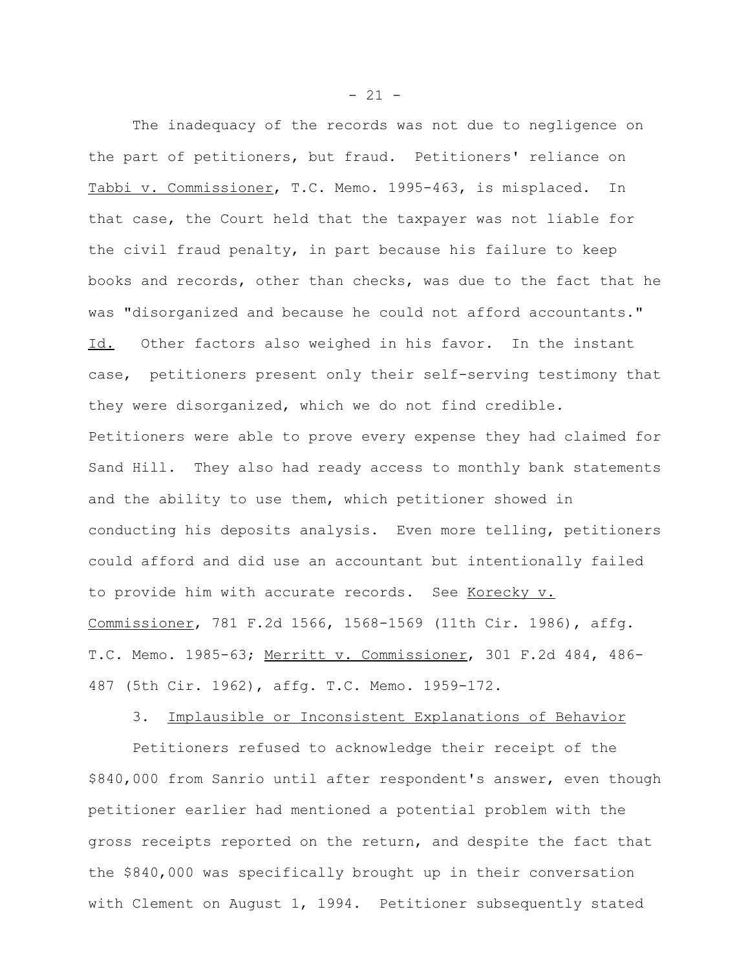The inadequacy of the records was not due to negligence on the part of petitioners, but fraud. Petitioners' reliance on Tabbi v. Commissioner, T.C. Memo. 1995-463, is misplaced. In that case, the Court held that the taxpayer was not liable for the civil fraud penalty, in part because his failure to keep books and records, other than checks, was due to the fact that he was "disorganized and because he could not afford accountants." Id. Other factors also weighed in his favor. In the instant case, petitioners present only their self-serving testimony that they were disorganized, which we do not find credible. Petitioners were able to prove every expense they had claimed for Sand Hill. They also had ready access to monthly bank statements and the ability to use them, which petitioner showed in conducting his deposits analysis. Even more telling, petitioners could afford and did use an accountant but intentionally failed to provide him with accurate records. See Korecky v. Commissioner, 781 F.2d 1566, 1568-1569 (11th Cir. 1986), affg. T.C. Memo. 1985-63; Merritt v. Commissioner, 301 F.2d 484, 486- 487 (5th Cir. 1962), affg. T.C. Memo. 1959-172.

3. Implausible or Inconsistent Explanations of Behavior

Petitioners refused to acknowledge their receipt of the \$840,000 from Sanrio until after respondent's answer, even though petitioner earlier had mentioned a potential problem with the gross receipts reported on the return, and despite the fact that the \$840,000 was specifically brought up in their conversation with Clement on August 1, 1994. Petitioner subsequently stated

 $- 21 -$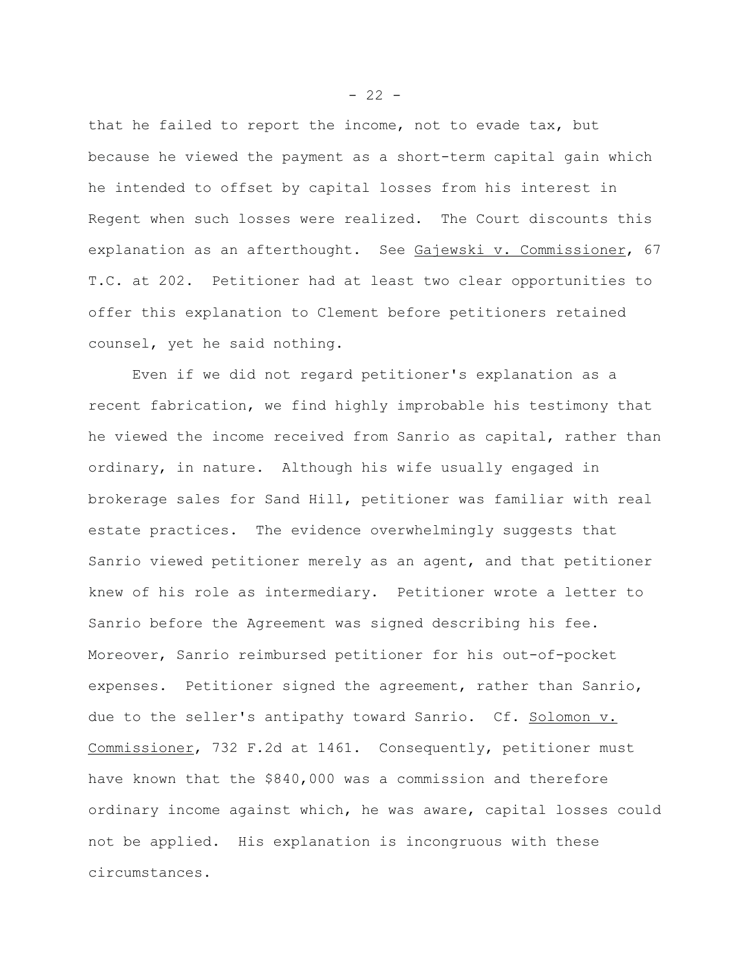that he failed to report the income, not to evade tax, but because he viewed the payment as a short-term capital gain which he intended to offset by capital losses from his interest in Regent when such losses were realized. The Court discounts this explanation as an afterthought. See Gajewski v. Commissioner, 67 T.C. at 202. Petitioner had at least two clear opportunities to offer this explanation to Clement before petitioners retained counsel, yet he said nothing.

Even if we did not regard petitioner's explanation as a recent fabrication, we find highly improbable his testimony that he viewed the income received from Sanrio as capital, rather than ordinary, in nature. Although his wife usually engaged in brokerage sales for Sand Hill, petitioner was familiar with real estate practices. The evidence overwhelmingly suggests that Sanrio viewed petitioner merely as an agent, and that petitioner knew of his role as intermediary. Petitioner wrote a letter to Sanrio before the Agreement was signed describing his fee. Moreover, Sanrio reimbursed petitioner for his out-of-pocket expenses. Petitioner signed the agreement, rather than Sanrio, due to the seller's antipathy toward Sanrio. Cf. Solomon v. Commissioner, 732 F.2d at 1461. Consequently, petitioner must have known that the \$840,000 was a commission and therefore ordinary income against which, he was aware, capital losses could not be applied. His explanation is incongruous with these circumstances.

 $- 22 -$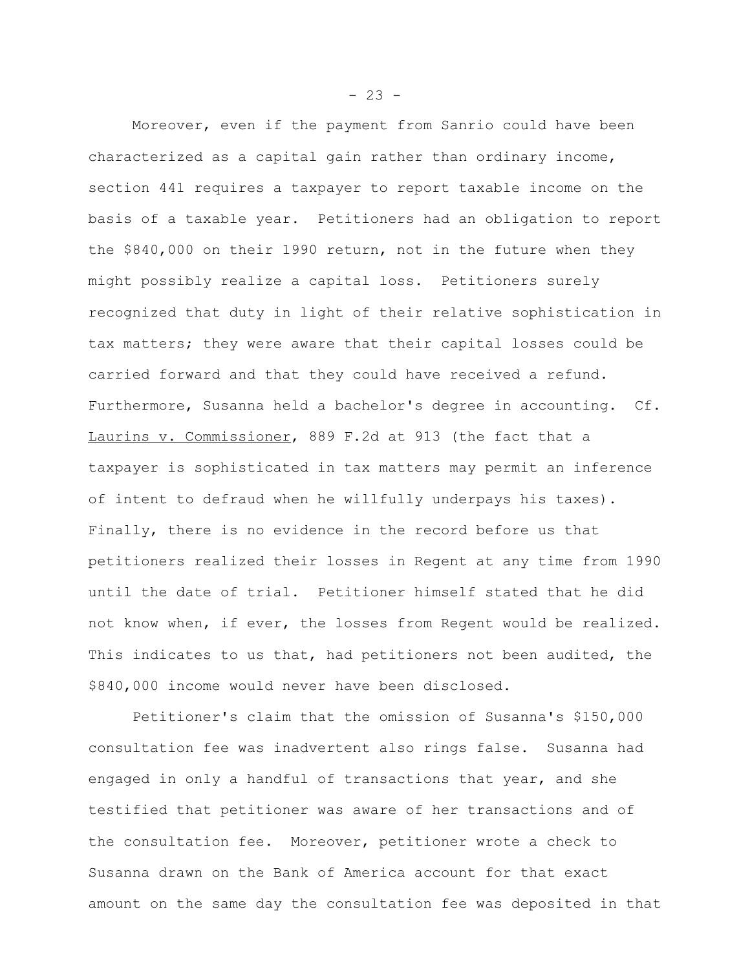Moreover, even if the payment from Sanrio could have been characterized as a capital gain rather than ordinary income, section 441 requires a taxpayer to report taxable income on the basis of a taxable year. Petitioners had an obligation to report the \$840,000 on their 1990 return, not in the future when they might possibly realize a capital loss. Petitioners surely recognized that duty in light of their relative sophistication in tax matters; they were aware that their capital losses could be carried forward and that they could have received a refund. Furthermore, Susanna held a bachelor's degree in accounting. Cf. Laurins v. Commissioner, 889 F.2d at 913 (the fact that a taxpayer is sophisticated in tax matters may permit an inference of intent to defraud when he willfully underpays his taxes). Finally, there is no evidence in the record before us that petitioners realized their losses in Regent at any time from 1990 until the date of trial. Petitioner himself stated that he did not know when, if ever, the losses from Regent would be realized. This indicates to us that, had petitioners not been audited, the \$840,000 income would never have been disclosed.

Petitioner's claim that the omission of Susanna's \$150,000 consultation fee was inadvertent also rings false. Susanna had engaged in only a handful of transactions that year, and she testified that petitioner was aware of her transactions and of the consultation fee. Moreover, petitioner wrote a check to Susanna drawn on the Bank of America account for that exact amount on the same day the consultation fee was deposited in that

 $- 23 -$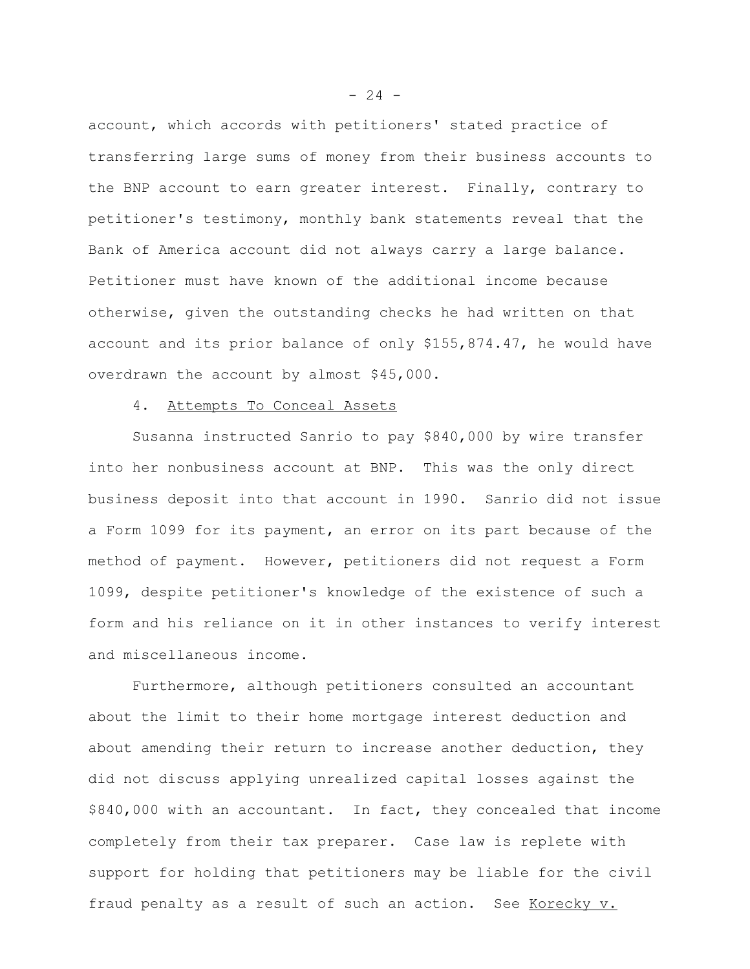account, which accords with petitioners' stated practice of transferring large sums of money from their business accounts to the BNP account to earn greater interest. Finally, contrary to petitioner's testimony, monthly bank statements reveal that the Bank of America account did not always carry a large balance. Petitioner must have known of the additional income because otherwise, given the outstanding checks he had written on that account and its prior balance of only \$155,874.47, he would have overdrawn the account by almost \$45,000.

## 4. Attempts To Conceal Assets

Susanna instructed Sanrio to pay \$840,000 by wire transfer into her nonbusiness account at BNP. This was the only direct business deposit into that account in 1990. Sanrio did not issue a Form 1099 for its payment, an error on its part because of the method of payment. However, petitioners did not request a Form 1099, despite petitioner's knowledge of the existence of such a form and his reliance on it in other instances to verify interest and miscellaneous income.

Furthermore, although petitioners consulted an accountant about the limit to their home mortgage interest deduction and about amending their return to increase another deduction, they did not discuss applying unrealized capital losses against the \$840,000 with an accountant. In fact, they concealed that income completely from their tax preparer. Case law is replete with support for holding that petitioners may be liable for the civil fraud penalty as a result of such an action. See Korecky v.

 $- 24 -$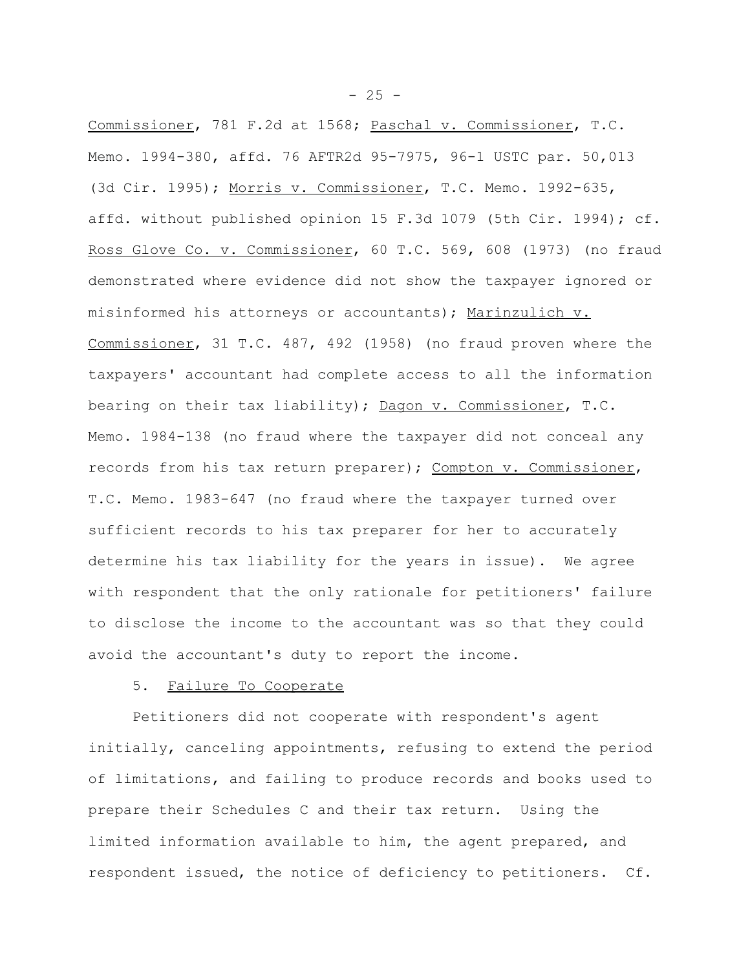Commissioner, 781 F.2d at 1568; Paschal v. Commissioner, T.C. Memo. 1994-380, affd. 76 AFTR2d 95-7975, 96-1 USTC par. 50,013 (3d Cir. 1995); Morris v. Commissioner, T.C. Memo. 1992-635, affd. without published opinion 15 F.3d 1079 (5th Cir. 1994); cf. Ross Glove Co. v. Commissioner, 60 T.C. 569, 608 (1973) (no fraud demonstrated where evidence did not show the taxpayer ignored or misinformed his attorneys or accountants); Marinzulich v. Commissioner, 31 T.C. 487, 492 (1958) (no fraud proven where the taxpayers' accountant had complete access to all the information bearing on their tax liability); Dagon v. Commissioner, T.C. Memo. 1984-138 (no fraud where the taxpayer did not conceal any records from his tax return preparer); Compton v. Commissioner, T.C. Memo. 1983-647 (no fraud where the taxpayer turned over sufficient records to his tax preparer for her to accurately determine his tax liability for the years in issue). We agree with respondent that the only rationale for petitioners' failure to disclose the income to the accountant was so that they could avoid the accountant's duty to report the income.

## 5. Failure To Cooperate

Petitioners did not cooperate with respondent's agent initially, canceling appointments, refusing to extend the period of limitations, and failing to produce records and books used to prepare their Schedules C and their tax return. Using the limited information available to him, the agent prepared, and respondent issued, the notice of deficiency to petitioners. Cf.

 $- 25 -$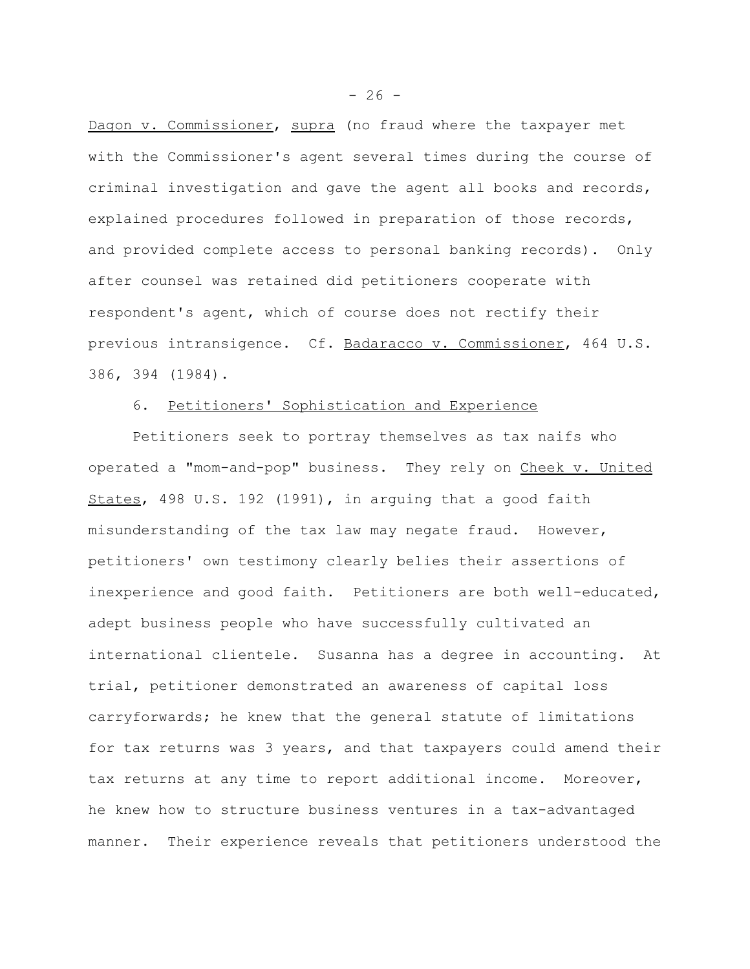Dagon v. Commissioner, supra (no fraud where the taxpayer met with the Commissioner's agent several times during the course of criminal investigation and gave the agent all books and records, explained procedures followed in preparation of those records, and provided complete access to personal banking records). Only after counsel was retained did petitioners cooperate with respondent's agent, which of course does not rectify their previous intransigence. Cf. Badaracco v. Commissioner, 464 U.S. 386, 394 (1984).

## 6. Petitioners' Sophistication and Experience

Petitioners seek to portray themselves as tax naifs who operated a "mom-and-pop" business. They rely on Cheek v. United States, 498 U.S. 192 (1991), in arguing that a good faith misunderstanding of the tax law may negate fraud. However, petitioners' own testimony clearly belies their assertions of inexperience and good faith. Petitioners are both well-educated, adept business people who have successfully cultivated an international clientele. Susanna has a degree in accounting. At trial, petitioner demonstrated an awareness of capital loss carryforwards; he knew that the general statute of limitations for tax returns was 3 years, and that taxpayers could amend their tax returns at any time to report additional income. Moreover, he knew how to structure business ventures in a tax-advantaged manner. Their experience reveals that petitioners understood the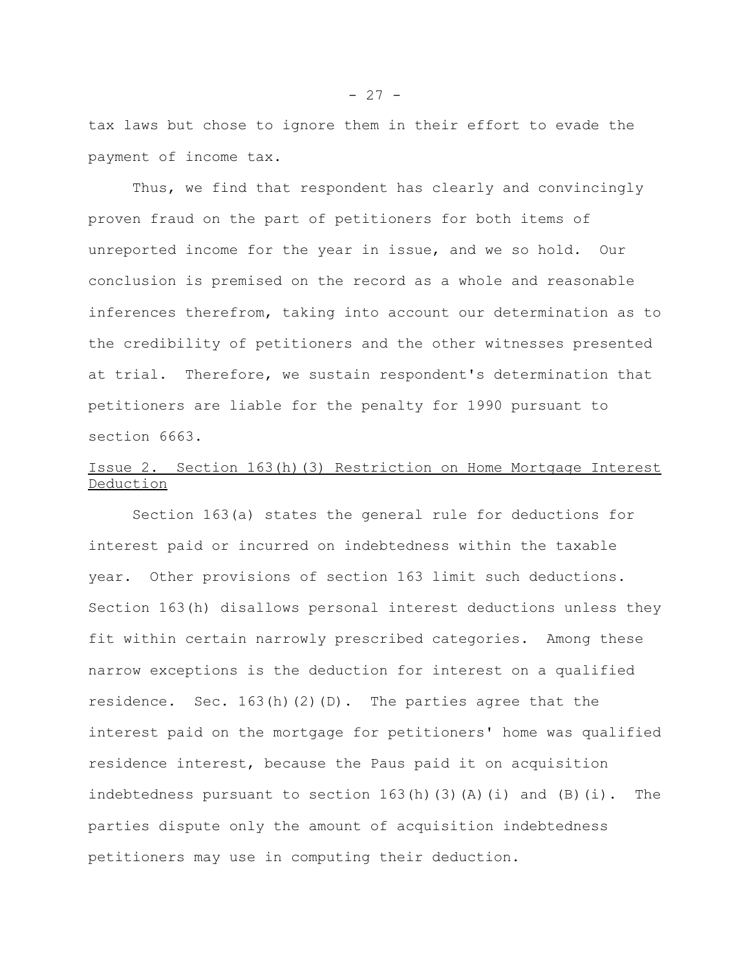tax laws but chose to ignore them in their effort to evade the payment of income tax.

Thus, we find that respondent has clearly and convincingly proven fraud on the part of petitioners for both items of unreported income for the year in issue, and we so hold. Our conclusion is premised on the record as a whole and reasonable inferences therefrom, taking into account our determination as to the credibility of petitioners and the other witnesses presented at trial. Therefore, we sustain respondent's determination that petitioners are liable for the penalty for 1990 pursuant to section 6663.

# Issue 2. Section 163(h)(3) Restriction on Home Mortgage Interest Deduction

Section 163(a) states the general rule for deductions for interest paid or incurred on indebtedness within the taxable year. Other provisions of section 163 limit such deductions. Section 163(h) disallows personal interest deductions unless they fit within certain narrowly prescribed categories. Among these narrow exceptions is the deduction for interest on a qualified residence. Sec.  $163(h)(2)(D)$ . The parties agree that the interest paid on the mortgage for petitioners' home was qualified residence interest, because the Paus paid it on acquisition indebtedness pursuant to section  $163(h)(3)(A)(i)$  and  $(B)(i)$ . The parties dispute only the amount of acquisition indebtedness petitioners may use in computing their deduction.

 $- 27 -$